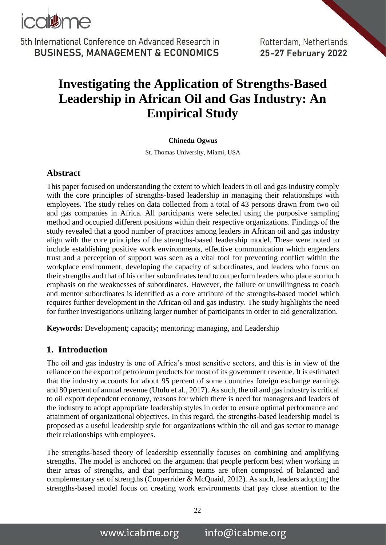

Rotterdam, Netherlands 25-27 February 2022

# **Investigating the Application of Strengths-Based Leadership in African Oil and Gas Industry: An Empirical Study**

#### **Chinedu Ogwus**

St. Thomas University, Miami, USA

#### **Abstract**

This paper focused on understanding the extent to which leaders in oil and gas industry comply with the core principles of strengths-based leadership in managing their relationships with employees. The study relies on data collected from a total of 43 persons drawn from two oil and gas companies in Africa. All participants were selected using the purposive sampling method and occupied different positions within their respective organizations. Findings of the study revealed that a good number of practices among leaders in African oil and gas industry align with the core principles of the strengths-based leadership model. These were noted to include establishing positive work environments, effective communication which engenders trust and a perception of support was seen as a vital tool for preventing conflict within the workplace environment, developing the capacity of subordinates, and leaders who focus on their strengths and that of his or her subordinates tend to outperform leaders who place so much emphasis on the weaknesses of subordinates. However, the failure or unwillingness to coach and mentor subordinates is identified as a core attribute of the strengths-based model which requires further development in the African oil and gas industry. The study highlights the need for further investigations utilizing larger number of participants in order to aid generalization.

**Keywords:** Development; capacity; mentoring; managing, and Leadership

#### **1. Introduction**

The oil and gas industry is one of Africa's most sensitive sectors, and this is in view of the reliance on the export of petroleum products for most of its government revenue. It is estimated that the industry accounts for about 95 percent of some countries foreign exchange earnings and 80 percent of annual revenue (Utulu et al., 2017). As such, the oil and gas industry is critical to oil export dependent economy, reasons for which there is need for managers and leaders of the industry to adopt appropriate leadership styles in order to ensure optimal performance and attainment of organizational objectives. In this regard, the strengths-based leadership model is proposed as a useful leadership style for organizations within the oil and gas sector to manage their relationships with employees.

The strengths-based theory of leadership essentially focuses on combining and amplifying strengths. The model is anchored on the argument that people perform best when working in their areas of strengths, and that performing teams are often composed of balanced and complementary set of strengths (Cooperrider & McQuaid, 2012). As such, leaders adopting the strengths-based model focus on creating work environments that pay close attention to the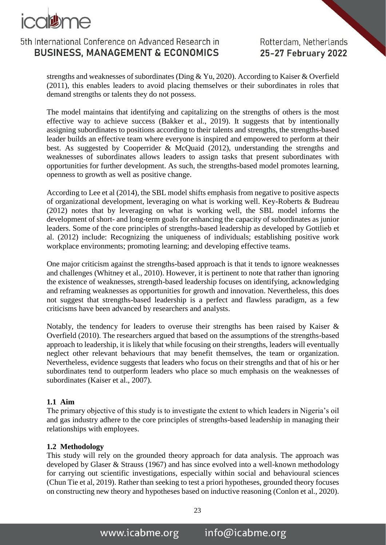

Rotterdam, Netherlands 25-27 February 2022

strengths and weaknesses of subordinates (Ding & Yu, 2020). According to Kaiser & Overfield (2011), this enables leaders to avoid placing themselves or their subordinates in roles that demand strengths or talents they do not possess.

The model maintains that identifying and capitalizing on the strengths of others is the most effective way to achieve success (Bakker et al., 2019). It suggests that by intentionally assigning subordinates to positions according to their talents and strengths, the strengths-based leader builds an effective team where everyone is inspired and empowered to perform at their best. As suggested by Cooperrider & McQuaid (2012), understanding the strengths and weaknesses of subordinates allows leaders to assign tasks that present subordinates with opportunities for further development. As such, the strengths-based model promotes learning, openness to growth as well as positive change.

According to Lee et al (2014), the SBL model shifts emphasis from negative to positive aspects of organizational development, leveraging on what is working well. Key-Roberts & Budreau (2012) notes that by leveraging on what is working well, the SBL model informs the development of short- and long-term goals for enhancing the capacity of subordinates as junior leaders. Some of the core principles of strengths-based leadership as developed by Gottlieb et al. (2012) include: Recognizing the uniqueness of individuals; establishing positive work workplace environments; promoting learning; and developing effective teams.

One major criticism against the strengths-based approach is that it tends to ignore weaknesses and challenges (Whitney et al., 2010). However, it is pertinent to note that rather than ignoring the existence of weaknesses, strength-based leadership focuses on identifying, acknowledging and reframing weaknesses as opportunities for growth and innovation. Nevertheless, this does not suggest that strengths-based leadership is a perfect and flawless paradigm, as a few criticisms have been advanced by researchers and analysts.

Notably, the tendency for leaders to overuse their strengths has been raised by Kaiser & Overfield (2010). The researchers argued that based on the assumptions of the strengths-based approach to leadership, it is likely that while focusing on their strengths, leaders will eventually neglect other relevant behaviours that may benefit themselves, the team or organization. Nevertheless, evidence suggests that leaders who focus on their strengths and that of his or her subordinates tend to outperform leaders who place so much emphasis on the weaknesses of subordinates (Kaiser et al., 2007).

#### **1.1 Aim**

The primary objective of this study is to investigate the extent to which leaders in Nigeria's oil and gas industry adhere to the core principles of strengths-based leadership in managing their relationships with employees.

#### **1.2 Methodology**

This study will rely on the grounded theory approach for data analysis. The approach was developed by Glaser & Strauss (1967) and has since evolved into a well-known methodology for carrying out scientific investigations, especially within social and behavioural sciences (Chun Tie et al, 2019). Rather than seeking to test a priori hypotheses, grounded theory focuses on constructing new theory and hypotheses based on inductive reasoning (Conlon et al., 2020).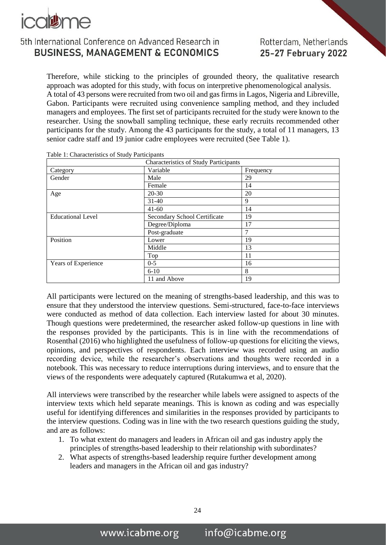

Therefore, while sticking to the principles of grounded theory, the qualitative research approach was adopted for this study, with focus on interpretive phenomenological analysis. A total of 43 persons were recruited from two oil and gas firms in Lagos, Nigeria and [Libreville,](https://en.wikipedia.org/wiki/Libreville) Gabon. Participants were recruited using convenience sampling method, and they included managers and employees. The first set of participants recruited for the study were known to the researcher. Using the snowball sampling technique, these early recruits recommended other participants for the study. Among the 43 participants for the study, a total of 11 managers, 13 senior cadre staff and 19 junior cadre employees were recruited (See Table 1).

| <b>Characteristics of Study Participants</b> |                              |           |
|----------------------------------------------|------------------------------|-----------|
| Category                                     | Variable                     | Frequency |
| Gender                                       | Male                         | 29        |
|                                              | Female                       | 14        |
| Age                                          | $20 - 30$                    | 20        |
|                                              | $31-40$                      | 9         |
|                                              | $41 - 60$                    | 14        |
| <b>Educational Level</b>                     | Secondary School Certificate | 19        |
|                                              | Degree/Diploma               | 17        |
|                                              | Post-graduate                | 7         |
| Position                                     | Lower                        | 19        |
|                                              | Middle                       | 13        |
|                                              | Top                          | 11        |
| Years of Experience                          | $0 - 5$                      | 16        |
|                                              | $6 - 10$                     | 8         |
|                                              | 11 and Above                 | 19        |

Table 1: Characteristics of Study Participants

All participants were lectured on the meaning of strengths-based leadership, and this was to ensure that they understood the interview questions. Semi-structured, face-to-face interviews were conducted as method of data collection. Each interview lasted for about 30 minutes. Though questions were predetermined, the researcher asked follow-up questions in line with the responses provided by the participants. This is in line with the recommendations of Rosenthal (2016) who highlighted the usefulness of follow-up questions for eliciting the views, opinions, and perspectives of respondents. Each interview was recorded using an audio recording device, while the researcher's observations and thoughts were recorded in a notebook. This was necessary to reduce interruptions during interviews, and to ensure that the views of the respondents were adequately captured (Rutakumwa et al, 2020).

All interviews were transcribed by the researcher while labels were assigned to aspects of the interview texts which held separate meanings. This is known as coding and was especially useful for identifying differences and similarities in the responses provided by participants to the interview questions. Coding was in line with the two research questions guiding the study, and are as follows:

- 1. To what extent do managers and leaders in African oil and gas industry apply the principles of strengths-based leadership to their relationship with subordinates?
- 2. What aspects of strengths-based leadership require further development among leaders and managers in the African oil and gas industry?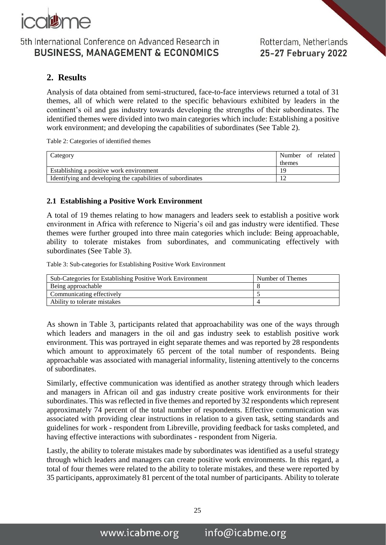

### **2. Results**

Analysis of data obtained from semi-structured, face-to-face interviews returned a total of 31 themes, all of which were related to the specific behaviours exhibited by leaders in the continent's oil and gas industry towards developing the strengths of their subordinates. The identified themes were divided into two main categories which include: Establishing a positive work environment; and developing the capabilities of subordinates (See Table 2).

Table 2: Categories of identified themes

| Category                                                    | Number of related |
|-------------------------------------------------------------|-------------------|
|                                                             | themes            |
| Establishing a positive work environment                    | 19                |
| Identifying and developing the capabilities of subordinates |                   |

#### **2.1 Establishing a Positive Work Environment**

A total of 19 themes relating to how managers and leaders seek to establish a positive work environment in Africa with reference to Nigeria's oil and gas industry were identified. These themes were further grouped into three main categories which include: Being approachable, ability to tolerate mistakes from subordinates, and communicating effectively with subordinates (See Table 3).

Table 3: Sub-categories for Establishing Positive Work Environment

| Sub-Categories for Establishing Positive Work Environment | Number of Themes |  |
|-----------------------------------------------------------|------------------|--|
| Being approachable                                        |                  |  |
| Communicating effectively                                 |                  |  |
| Ability to tolerate mistakes                              |                  |  |

As shown in Table 3, participants related that approachability was one of the ways through which leaders and managers in the oil and gas industry seek to establish positive work environment. This was portrayed in eight separate themes and was reported by 28 respondents which amount to approximately 65 percent of the total number of respondents. Being approachable was associated with managerial informality, listening attentively to the concerns of subordinates.

Similarly, effective communication was identified as another strategy through which leaders and managers in African oil and gas industry create positive work environments for their subordinates. This was reflected in five themes and reported by 32 respondents which represent approximately 74 percent of the total number of respondents. Effective communication was associated with providing clear instructions in relation to a given task, setting standards and guidelines for work - respondent from [Libreville,](https://en.wikipedia.org/wiki/Libreville) providing feedback for tasks completed, and having effective interactions with subordinates - respondent from Nigeria.

Lastly, the ability to tolerate mistakes made by subordinates was identified as a useful strategy through which leaders and managers can create positive work environments. In this regard, a total of four themes were related to the ability to tolerate mistakes, and these were reported by 35 participants, approximately 81 percent of the total number of participants. Ability to tolerate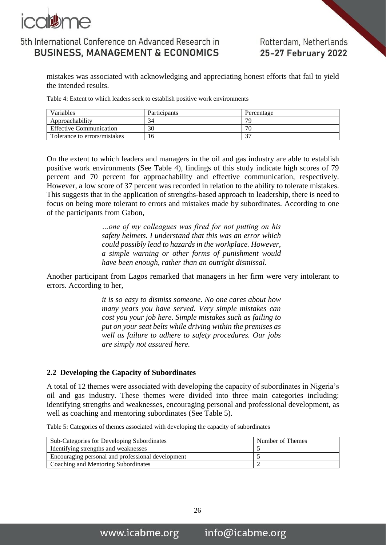

Rotterdam, Netherlands 25-27 February 2022

mistakes was associated with acknowledging and appreciating honest efforts that fail to yield the intended results.

Table 4: Extent to which leaders seek to establish positive work environments

| <b>Variables</b>               | Participants | Percentage  |
|--------------------------------|--------------|-------------|
| Approachability                | 34           | 70          |
| <b>Effective Communication</b> | 30           | 70          |
| Tolerance to errors/mistakes   | 16           | $\sim$<br>◡ |

On the extent to which leaders and managers in the oil and gas industry are able to establish positive work environments (See Table 4), findings of this study indicate high scores of 79 percent and 70 percent for approachability and effective communication, respectively. However, a low score of 37 percent was recorded in relation to the ability to tolerate mistakes. This suggests that in the application of strengths-based approach to leadership, there is need to focus on being more tolerant to errors and mistakes made by subordinates. According to one of the participants from Gabon,

> *…one of my colleagues was fired for not putting on his safety helmets. I understand that this was an error which could possibly lead to hazards in the workplace. However, a simple warning or other forms of punishment would have been enough, rather than an outright dismissal.*

Another participant from Lagos remarked that managers in her firm were very intolerant to errors. According to her,

> *it is so easy to dismiss someone. No one cares about how many years you have served. Very simple mistakes can cost you your job here. Simple mistakes such as failing to put on your seat belts while driving within the premises as well as failure to adhere to safety procedures. Our jobs are simply not assured here.*

#### **2.2 Developing the Capacity of Subordinates**

A total of 12 themes were associated with developing the capacity of subordinates in Nigeria's oil and gas industry. These themes were divided into three main categories including: identifying strengths and weaknesses, encouraging personal and professional development, as well as coaching and mentoring subordinates (See Table 5).

Table 5: Categories of themes associated with developing the capacity of subordinates

| Sub-Categories for Developing Subordinates        | Number of Themes |
|---------------------------------------------------|------------------|
| Identifying strengths and weaknesses              |                  |
| Encouraging personal and professional development |                  |
| Coaching and Mentoring Subordinates               |                  |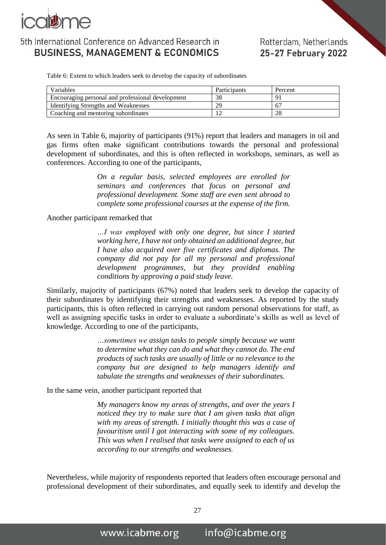

### Rotterdam, Netherlands 25-27 February 2022

Table 6: Extent to which leaders seek to develop the capacity of subordinates

| Variables                                         | Participants | Percent        |
|---------------------------------------------------|--------------|----------------|
| Encouraging personal and professional development | 38           | Q <sub>1</sub> |
| <b>Identifying Strengths and Weaknesses</b>       | 29           | 67             |
| Coaching and mentoring subordinates               |              | 28             |

As seen in Table 6, majority of participants (91%) report that leaders and managers in oil and gas firms often make significant contributions towards the personal and professional development of subordinates, and this is often reflected in workshops, seminars, as well as conferences. According to one of the participants,

> *On a regular basis, selected employees are enrolled for seminars and conferences that focus on personal and professional development. Some staff are even sent abroad to complete some professional courses at the expense of the firm.*

#### Another participant remarked that

*…I was employed with only one degree, but since I started working here, I have not only obtained an additional degree, but I have also acquired over five certificates and diplomas. The company did not pay for all my personal and professional development programmes, but they provided enabling conditions by approving a paid study leave.*

Similarly, majority of participants (67%) noted that leaders seek to develop the capacity of their subordinates by identifying their strengths and weaknesses. As reported by the study participants, this is often reflected in carrying out random personal observations for staff, as well as assigning specific tasks in order to evaluate a subordinate's skills as well as level of knowledge. According to one of the participants,

> *…sometimes we assign tasks to people simply because we want to determine what they can do and what they cannot do. The end products of such tasks are usually of little or no relevance to the company but are designed to help managers identify and tabulate the strengths and weaknesses of their subordinates.*

In the same vein, another participant reported that

*My managers know my areas of strengths, and over the years I noticed they try to make sure that I am given tasks that align with my areas of strength. I initially thought this was a case of favouritism until I got interacting with some of my colleagues. This was when I realised that tasks were assigned to each of us according to our strengths and weaknesses.*

Nevertheless, while majority of respondents reported that leaders often encourage personal and professional development of their subordinates, and equally seek to identify and develop the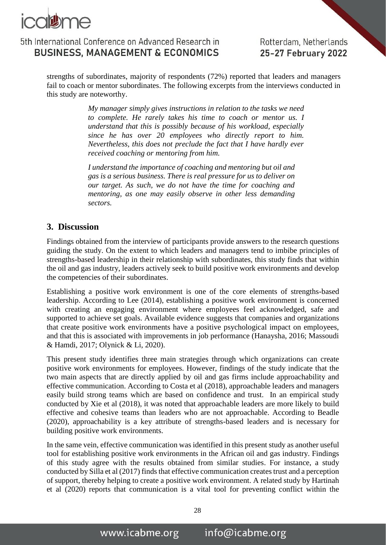

Rotterdam, Netherlands 25-27 February 2022

strengths of subordinates, majority of respondents (72%) reported that leaders and managers fail to coach or mentor subordinates. The following excerpts from the interviews conducted in this study are noteworthy.

> *My manager simply gives instructions in relation to the tasks we need to complete. He rarely takes his time to coach or mentor us. I understand that this is possibly because of his workload, especially since he has over 20 employees who directly report to him. Nevertheless, this does not preclude the fact that I have hardly ever received coaching or mentoring from him.*

*I understand the importance of coaching and mentoring but oil and gas is a serious business. There is real pressure for us to deliver on our target. As such, we do not have the time for coaching and mentoring, as one may easily observe in other less demanding sectors.* 

### **3. Discussion**

Findings obtained from the interview of participants provide answers to the research questions guiding the study. On the extent to which leaders and managers tend to imbibe principles of strengths-based leadership in their relationship with subordinates, this study finds that within the oil and gas industry, leaders actively seek to build positive work environments and develop the competencies of their subordinates.

Establishing a positive work environment is one of the core elements of strengths-based leadership. According to Lee (2014), establishing a positive work environment is concerned with creating an engaging environment where employees feel acknowledged, safe and supported to achieve set goals. Available evidence suggests that companies and organizations that create positive work environments have a positive psychological impact on employees, and that this is associated with improvements in job performance (Hanaysha, 2016; Massoudi & Hamdi, 2017; Olynick & Li, 2020).

This present study identifies three main strategies through which organizations can create positive work environments for employees. However, findings of the study indicate that the two main aspects that are directly applied by oil and gas firms include approachability and effective communication. According to Costa et al (2018), approachable leaders and managers easily build strong teams which are based on confidence and trust. In an empirical study conducted by Xie et al (2018), it was noted that approachable leaders are more likely to build effective and cohesive teams than leaders who are not approachable. According to Beadle (2020), approachability is a key attribute of strengths-based leaders and is necessary for building positive work environments.

In the same vein, effective communication was identified in this present study as another useful tool for establishing positive work environments in the African oil and gas industry. Findings of this study agree with the results obtained from similar studies. For instance, a study conducted by Silla et al (2017) finds that effective communication creates trust and a perception of support, thereby helping to create a positive work environment. A related study by Hartinah et al (2020) reports that communication is a vital tool for preventing conflict within the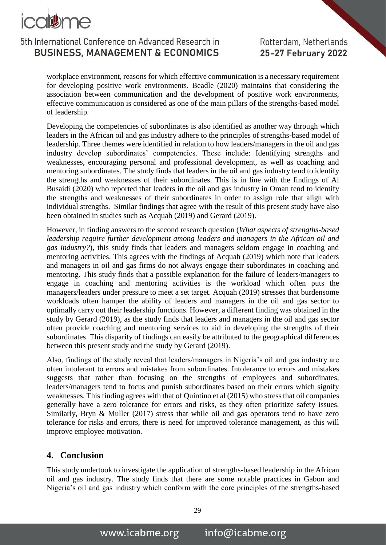

workplace environment, reasons for which effective communication is a necessary requirement for developing positive work environments. Beadle (2020) maintains that considering the association between communication and the development of positive work environments, effective communication is considered as one of the main pillars of the strengths-based model of leadership.

Developing the competencies of subordinates is also identified as another way through which leaders in the African oil and gas industry adhere to the principles of strengths-based model of leadership. Three themes were identified in relation to how leaders/managers in the oil and gas industry develop subordinates' competencies. These include: Identifying strengths and weaknesses, encouraging personal and professional development, as well as coaching and mentoring subordinates. The study finds that leaders in the oil and gas industry tend to identify the strengths and weaknesses of their subordinates. This is in line with the findings of Al Busaidi (2020) who reported that leaders in the oil and gas industry in Oman tend to identify the strengths and weaknesses of their subordinates in order to assign role that align with individual strengths. Similar findings that agree with the result of this present study have also been obtained in studies such as Acquah (2019) and Gerard (2019).

However, in finding answers to the second research question (*What aspects of strengths-based leadership require further development among leaders and managers in the African oil and gas industry?*), this study finds that leaders and managers seldom engage in coaching and mentoring activities. This agrees with the findings of Acquah (2019) which note that leaders and managers in oil and gas firms do not always engage their subordinates in coaching and mentoring. This study finds that a possible explanation for the failure of leaders/managers to engage in coaching and mentoring activities is the workload which often puts the managers/leaders under pressure to meet a set target. Acquah (2019) stresses that burdensome workloads often hamper the ability of leaders and managers in the oil and gas sector to optimally carry out their leadership functions. However, a different finding was obtained in the study by Gerard (2019), as the study finds that leaders and managers in the oil and gas sector often provide coaching and mentoring services to aid in developing the strengths of their subordinates. This disparity of findings can easily be attributed to the geographical differences between this present study and the study by Gerard (2019).

Also, findings of the study reveal that leaders/managers in Nigeria's oil and gas industry are often intolerant to errors and mistakes from subordinates. Intolerance to errors and mistakes suggests that rather than focusing on the strengths of employees and subordinates, leaders/managers tend to focus and punish subordinates based on their errors which signify weaknesses. This finding agrees with that of Quintino et al (2015) who stress that oil companies generally have a zero tolerance for errors and risks, as they often prioritize safety issues. Similarly, Bryn & Muller (2017) stress that while oil and gas operators tend to have zero tolerance for risks and errors, there is need for improved tolerance management, as this will improve employee motivation.

### **4. Conclusion**

This study undertook to investigate the application of strengths-based leadership in the African oil and gas industry. The study finds that there are some notable practices in Gabon and Nigeria's oil and gas industry which conform with the core principles of the strengths-based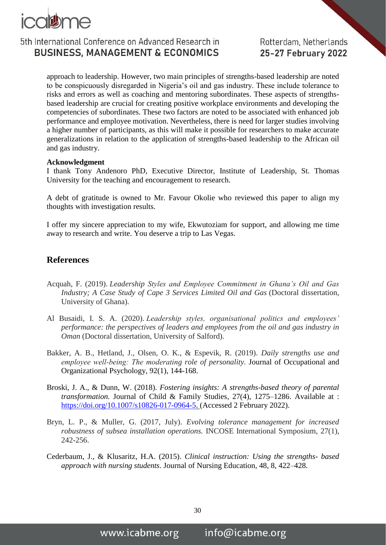

approach to leadership. However, two main principles of strengths-based leadership are noted to be conspicuously disregarded in Nigeria's oil and gas industry. These include tolerance to risks and errors as well as coaching and mentoring subordinates. These aspects of strengthsbased leadership are crucial for creating positive workplace environments and developing the competencies of subordinates. These two factors are noted to be associated with enhanced job performance and employee motivation. Nevertheless, there is need for larger studies involving a higher number of participants, as this will make it possible for researchers to make accurate generalizations in relation to the application of strengths-based leadership to the African oil and gas industry.

#### **Acknowledgment**

I thank Tony Andenoro PhD, Executive Director, Institute of Leadership, St. Thomas University for the teaching and encouragement to research.

A debt of gratitude is owned to Mr. Favour Okolie who reviewed this paper to align my thoughts with investigation results.

I offer my sincere appreciation to my wife, Ekwutoziam for support, and allowing me time away to research and write. You deserve a trip to Las Vegas.

#### **References**

- Acquah, F. (2019). *Leadership Styles and Employee Commitment in Ghana's Oil and Gas Industry; A Case Study of Cape 3 Services Limited Oil and Gas* (Doctoral dissertation, University of Ghana).
- Al Busaidi, I. S. A. (2020). *Leadership styles, organisational politics and employees' performance: the perspectives of leaders and employees from the oil and gas industry in Oman* (Doctoral dissertation, University of Salford).
- Bakker, A. B., Hetland, J., Olsen, O. K., & Espevik, R. (2019). *Daily strengths use and employee well‐being: The moderating role of personality.* Journal of Occupational and Organizational Psychology, 92(1), 144-168.
- Broski, J. A., & Dunn, W. (2018). *Fostering insights: A strengths-based theory of parental transformation.* Journal of Child & Family Studies, 27(4), 1275–1286. [Available at :](file:///C:/Users/user/Documents/document%20101/SPE%20PAPER/Available%20at%20:%20https:/doi.org/10.1007/s10826-017-0964-5)  [https://doi.org/10.1007/s10826-017-0964-5.](file:///C:/Users/user/Documents/document%20101/SPE%20PAPER/Available%20at%20:%20https:/doi.org/10.1007/s10826-017-0964-5) (Accessed 2 February 2022).
- Bryn, L. P., & Muller, G. (2017, July). *Evolving tolerance management for increased robustness of subsea installation operations.* INCOSE International Symposium, 27(1), 242-256.
- Cederbaum, J., & Klusaritz, H.A. (2015). *Clinical instruction: Using the strengths- based approach with nursing students*. Journal of Nursing Education, 48, 8, 422–428.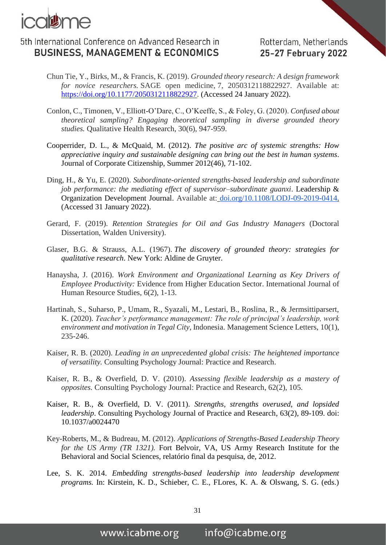

- Chun Tie, Y., Birks, M., & Francis, K. (2019). *Grounded theory research: A design framework for novice researchers.* SAGE open medicine, 7, 2050312118822927. Available at: [https://doi.org/10.1177/2050312118822927.](https://doi.org/10.1177/2050312118822927) (Accessed 24 January 2022).
- Conlon, C., Timonen, V., Elliott-O'Dare, C., O'Keeffe, S., & Foley, G. (2020). *Confused about theoretical sampling? Engaging theoretical sampling in diverse grounded theory studies.* Qualitative Health Research, 30(6), 947-959.
- Cooperrider, D. L., & McQuaid, M. (2012). *The positive arc of systemic strengths: How appreciative inquiry and sustainable designing can bring out the best in human systems*. Journal of Corporate Citizenship, Summer 2012(46), 71-102.
- Ding, H., & Yu, E. (2020). *Subordinate-oriented strengths-based leadership and subordinate job performance: the mediating effect of supervisor–subordinate guanxi*. Leadership & Organization Development Journal. Available at: [doi.org/10.1108/LODJ-09-2019-0414.](https://doi.org/10.1108/LODJ-09-2019-0414) (Accessed 31 January 2022).
- Gerard, F. (2019). *Retention Strategies for Oil and Gas Industry Managers* (Doctoral Dissertation, Walden University).
- Glaser, B.G. & Strauss, A.L. (1967). *The discovery of grounded theory: strategies for qualitative research*. New York: Aldine de Gruyter.
- Hanaysha, J. (2016). *Work Environment and Organizational Learning as Key Drivers of Employee Productivity:* Evidence from Higher Education Sector. International Journal of Human Resource Studies, 6(2), 1-13.
- Hartinah, S., Suharso, P., Umam, R., Syazali, M., Lestari, B., Roslina, R., & Jermsittiparsert, K. (2020). *Teacher's performance management: The role of principal's leadership, work environment and motivation in Tegal City*, Indonesia. Management Science Letters, 10(1), 235-246.
- Kaiser, R. B. (2020). *Leading in an unprecedented global crisis: The heightened importance of versatility.* Consulting Psychology Journal: Practice and Research.
- Kaiser, R. B., & Overfield, D. V. (2010). *Assessing flexible leadership as a mastery of opposites.* Consulting Psychology Journal: Practice and Research, 62(2), 105.
- Kaiser, R. B., & Overfield, D. V. (2011). *Strengths, strengths overused, and lopsided leadership*. Consulting Psychology Journal of Practice and Research, 63(2), 89-109. doi: 10.1037/a0024470
- Key-Roberts, M., & Budreau, M. (2012). *Applications of Strengths-Based Leadership Theory for the US Army (TR 1321).* Fort Belvoir, VA, US Army Research Institute for the Behavioral and Social Sciences, relatório final da pesquisa, de, 2012.
- Lee, S. K. 2014. *Embedding strengths-based leadership into leadership development programs.* In: Kirstein, K. D., Schieber, C. E., FLores, K. A. & Olswang, S. G. (eds.)